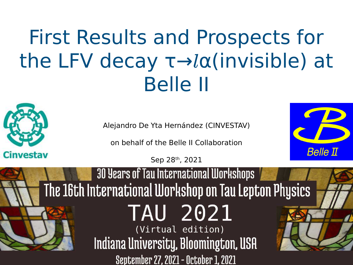# First Results and Prospects for the LFV decay τ→lα(invisible) at Belle II

Alejandro De Yta Hernández (CINVESTAV)

on behalf of the Belle II Collaboration

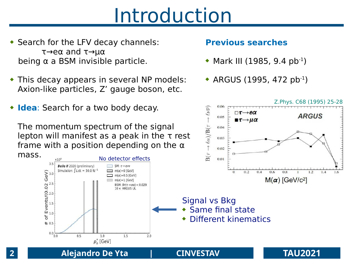## Introduction

- ◆ Search for the LFV decay channels: τ→eα and τ→μα being  $α$  a BSM invisible particle.
- This decay appears in several NP models: Axion-like particles, Z' gauge boson, etc.
- **Idea**: Search for a two body decay.

The momentum spectrum of the signal lepton will manifest as a peak in the τ rest frame with a position depending on the  $\alpha$ 



### **Previous searches**

 $\neg$  T-

 $\rightarrow$ e $\alpha$ 

 $\blacksquare$   $\tau$   $\rightarrow$   $\mu\alpha$ 

 $0.06$ 

0.05

0.04

0.03

 $\rightarrow \ell \nu \overline{\nu}$ 

- $\bullet$  Mark III (1985, 9.4 pb<sup>-1</sup>)
- $\triangleleft$  ARGUS (1995, 472 pb<sup>-1</sup>)

Z.Phys. C68 (1995) 25-28

**ARGUS**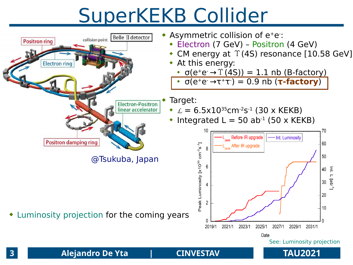# SuperKEKB Collider

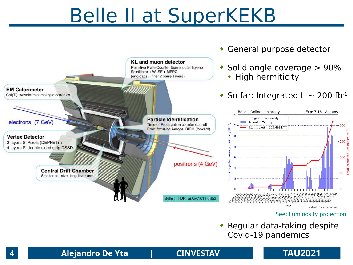### Belle II at SuperKEKB



See: [Luminosity projection](https://confluence.desy.de/display/BI/Belle+II+Luminosity#BelleIILuminosity-Luminosityprojectionplot(planforthecomingyears))

 Regular data-taking despite Covid-19 pandemics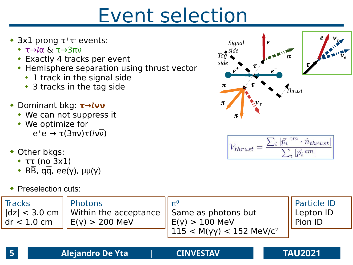## Event selection

- $\bullet$  3x1 prong  $\tau^+\tau^-$  events:
	- $\rightarrow$   $\tau \rightarrow l\alpha$  &  $\tau \rightarrow 3\pi v$
	- Exactly 4 tracks per event
	- **Hemisphere separation using thrust vector** 
		- 1 track in the signal side
		- \* 3 tracks in the tag side
- Dominant bkg: **τ→***l***νν**
	- We can not suppress it
	- We optimize for
		- e<sup>+</sup>e<sup>-</sup> → τ(3πν)τ(*lν*ν)
- Other bkgs:
	- ττ (no 3x1)
	- $B\overline{B}$ , qq, ee(γ),  $\mu\mu(\gamma)$
- ◆ Preselection cuts:





$$
V_{thrust} = \frac{\sum_{i} |\vec{p}_i^{cm} \cdot \hat{n}_{thrust}|}{\sum_{i} |\vec{p}_i^{cm}|}
$$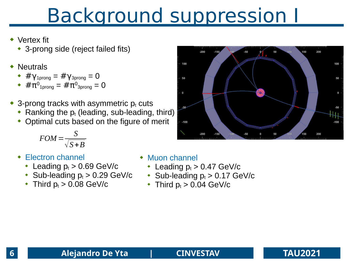# Background suppression I

- Vertex fit
	- 3-prong side (reject failed fits)
- **Neutrals** 
	- $\arrow$  #γ<sub>1prong</sub> = #γ<sub>3prong</sub> = 0
	- $\;\star\;$  #π $^0$ <sub>1prong</sub> = #π $^0$ <sub>3prong</sub> = 0
- 3-prong tracks with asymmetric  $p_t$  cuts
	- Ranking the  $p_t$  (leading, sub-leading, third)
	- Optimal cuts based on the figure of merit

$$
FOM = \frac{S}{\sqrt{S+B}}
$$

- Electron channel
	- Leading  $p_t > 0.69$  GeV/c
	- Sub-leading  $p_t > 0.29$  GeV/c
	- $\cdot$  Third  $p_t > 0.08$  GeV/c

### Muon channel

- Leading  $p_t > 0.47$  GeV/c
- Sub-leading  $p_t > 0.17$  GeV/c
- Third  $p_t > 0.04$  GeV/c



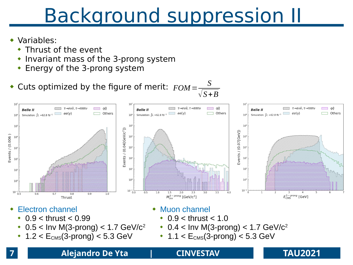# Background suppression II

### Variables:

- Thrust of the event
- $\cdot$  Invariant mass of the 3-prong system
- Energy of the 3-prong system
- $\bullet$  Cuts optimized by the figure of merit:  $FOM=$  *S* √*S*+*B*



- $\cdot$  0.9 < thrust < 0.99
- $\cdot$  0.5 < Inv M(3-prong) < 1.7 GeV/c<sup>2</sup>
- $1.2 < E_{CMS}(3$ -prong)  $< 5.3$  GeV
- $\cdot$  0.9 < thrust < 1.0
- $\cdot$  0.4 < Inv M(3-prong) < 1.7 GeV/c<sup>2</sup>
- $\cdot$  1.1 <  $E_{CMS}$ (3-prong) < 5.3 GeV

### **7 Alejandro De Yta | CINVESTAV TAU2021**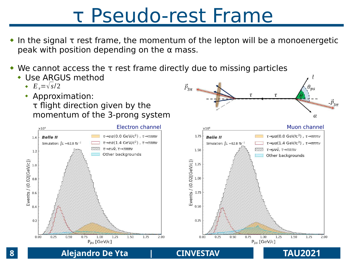### τ Pseudo-rest Frame

 In the signal τ rest frame, the momentum of the lepton will be a monoenergetic peak with position depending on the  $\alpha$  mass.

 $\vec{P}_{3\pi}$ 

 $\tau$ 

 $\tau$ 

 $-\vec{P}_{3\pi}$ 

- We cannot access the τ rest frame directly due to missing particles
	- Use ARGUS method
		- $E_t = \sqrt{s/2}$
		- Approximation: τ flight direction given by the momentum of the 3-prong system

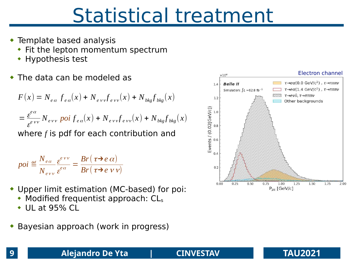## Statistical treatment

- Template based analysis
	- Fit the lepton momentum spectrum
	- Hypothesis test
- The data can be modeled as

$$
F(x) = N_{ea} f_{ea}(x) + N_{evv} f_{evv}(x) + N_{bkg} f_{bkg}(x)
$$

$$
= \frac{\varepsilon^{e\alpha}}{\varepsilon^{e\gamma\gamma}} N_{e\gamma\gamma} \text{ } \text{ } p\text{ } \text{ } o\text{ } i \text{ } f_{e\alpha}(x) + N_{e\gamma\gamma} f_{e\gamma\gamma}(x) + N_{b\gamma} f_{b\gamma}(x)
$$
\nwhere *f* is pdf for each contribution and

$$
poi \stackrel{\text{def}}{=} \frac{N_{e\alpha}}{N_{e\gamma\gamma}} \frac{\varepsilon^{e\gamma\gamma}}{\varepsilon^{e\alpha}} = \frac{Br(\tau \rightarrow e\alpha)}{Br(\tau \rightarrow e\gamma\gamma)}
$$

- Upper limit estimation (MC-based) for poi:
	- Modified frequentist approach: CL<sub>s</sub>
	- $\bullet$  UL at 95% CL
- Bayesian approach (work in progress)



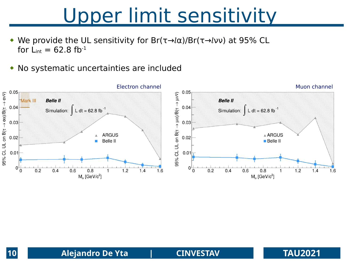### Upper limit sensitivity

- We provide the UL sensitivity for  $Br(\tau \rightarrow l\alpha)/Br(\tau \rightarrow l\nu\nu)$  at 95% CL for  $L_{int} = 62.8$  fb<sup>-1</sup>
- No systematic uncertainties are included

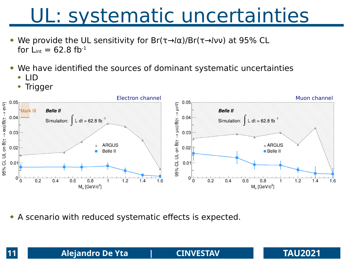## UL: systematic uncertainties

- We provide the UL sensitivity for  $Br(\tau \rightarrow l\alpha)/Br(\tau \rightarrow l\nu\nu)$  at 95% CL for  $L_{int} = 62.8$  fb<sup>-1</sup>
- We have identified the sources of dominant systematic uncertainties
	- ◆ LID
	- Trigger



A scenario with reduced systematic effects is expected.

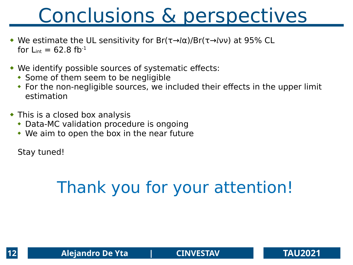# Conclusions & perspectives

- We estimate the UL sensitivity for  $Br(\tau \rightarrow l\alpha)/Br(\tau \rightarrow l\nu\nu)$  at 95% CL for  $L_{int} = 62.8$  fb<sup>-1</sup>
- We identify possible sources of systematic effects:
	- Some of them seem to be negligible
	- For the non-negligible sources, we included their effects in the upper limit estimation
- This is a closed box analysis
	- Data-MC validation procedure is ongoing
	- We aim to open the box in the near future

Stay tuned!

### Thank you for your attention!